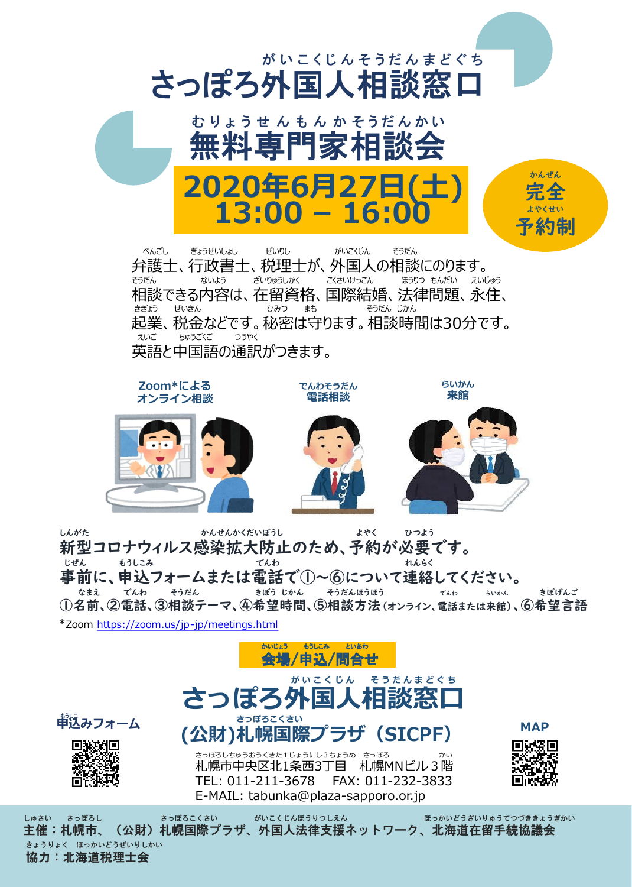



ート<br>中込みフォーム

回游戏间

**MAP**

札幌市中央区北1条西3丁目 札幌MNビル3階 TEL: 011-211-3678 FAX: 011-232-3833 E-MAIL: tabunka@plaza-sapporo.or.jp

しゅさい さっぽろし さっぽろこくさい がいこくじんほうりつしえん ほっかいどうざいりゅうてつづききょうぎかい 主催:札幌市、(公財)札幌国際プラザ、外国人法律支援ネットワーク、北海道在留手続協議会 きょうりょく ほっかいどうぜいりしかい 協力:北海道税理士会